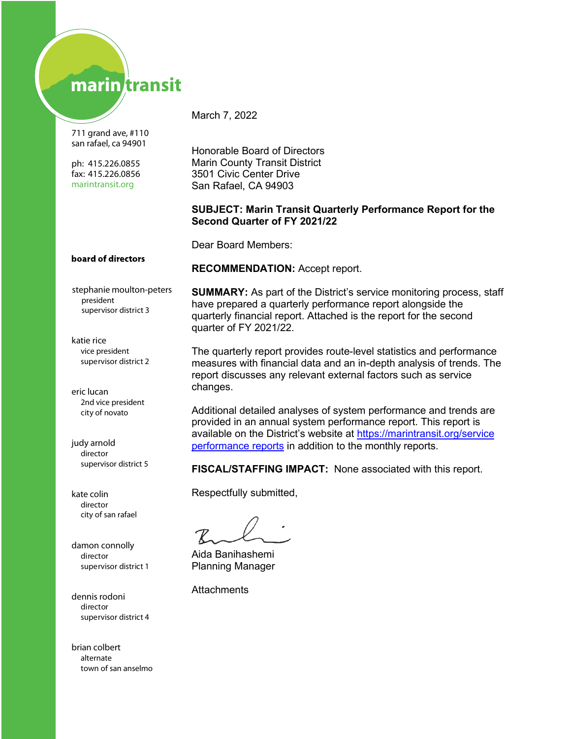# marin transit

711 grand ave, #110 san rafael, ca 94901

ph: 415.226.0855 fax: 415.226.0856 marintransit.org

March 7, 2022

Honorable Board of Directors Marin County Transit District 3501 Civic Center Drive San Rafael, CA 94903

#### **SUBJECT: Marin Transit Quarterly Performance Report for the Second Quarter of FY 2021/22**

Dear Board Members:

#### board of directors

stephanie moulton-peters president supervisor district 3

katie rice supervisor district 2 vice president

eric lucan city of novato 2nd vice president

judy arnold director supervisor district 5

kate colin director city of san rafael

damon connolly director supervisor district 1

dennis rodoni supervisor district 4 director

brian colbert town of san anselmo alternate

**RECOMMENDATION:** Accept report.

**SUMMARY:** As part of the District's service monitoring process, staff have prepared a quarterly performance report alongside the quarterly financial report. Attached is the report for the second quarter of FY 2021/22.

The quarterly report provides route-level statistics and performance measures with financial data and an in-depth analysis of trends. The report discusses any relevant external factors such as service changes.

Additional detailed analyses of system performance and trends are provided in an annual system performance report. This report is available on the District's website at https://marintransit.org/service [performance reports](https://marintransit.org/service-performance-and-reports) in addition to the monthly reports.

**FISCAL/STAFFING IMPACT:** None associated with this report.

Respectfully submitted,

Aida Banihashemi Planning Manager

**Attachments**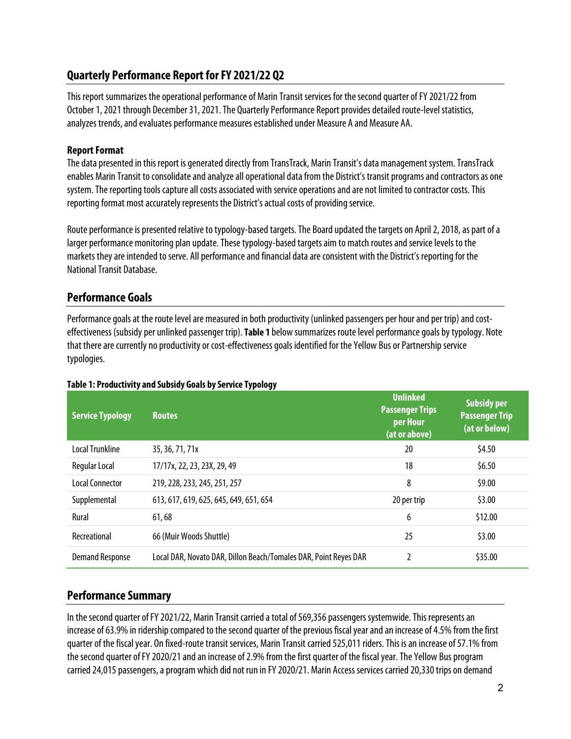# **Quarterly Performance Report for FY 2021/22 Q2**

This report summarizes the operational performance of Marin Transit services for the second quarter of FY 2021/22 from October 1, 2021 through December 31, 2021. The Quarterly Performance Report provides detailed route-level statistics, analyzes trends, and evaluates performance measures established under Measure A and Measure AA.

#### **Report Format**

The data presented in this report is generated directly from TransTrack, Marin Transit's data management system. TransTrack enables Marin Transit to consolidate andanalyze all operational data from the District's transit programs and contractors as one system. The reporting tools capture all costs associated with service operations and are not limited to contractor costs. This reporting format most accurately represents the District's actual costsof providing service.

Route performance is presented relative to typology-based targets. The Board updated the targets on April 2, 2018, as part of a larger performance monitoring plan update. These typology-based targets aim to match routes and service levels to the markets they are intended to serve. All performance and financial data areconsistent with the District's reporting for the National Transit Database.

## **Performance Goals**

Performance goals at the route level are measured in both productivity (unlinked passengers per hour and per trip) and costeffectiveness (subsidy per unlinked passenger trip). **[Table 1](#page-1-0)** below summarizes route level performance goals by typology. Note that there are currently no productivity or cost-effectiveness goals identified for the Yellow Bus or Partnership service typologies.

| <b>Service Typology</b> | <b>Routes</b>                                                    | <b>Unlinked</b><br><b>Passenger Trips</b><br>per Hour<br>(at or above) | Subsidy per<br><b>Passenger Trip</b><br>(at or below) |
|-------------------------|------------------------------------------------------------------|------------------------------------------------------------------------|-------------------------------------------------------|
| <b>Local Trunkline</b>  | 35, 36, 71, 71x                                                  | 20                                                                     | \$4.50                                                |
| Regular Local           | 17/17x, 22, 23, 23X, 29, 49                                      | 18                                                                     | \$6.50                                                |
| Local Connector         | 219, 228, 233, 245, 251, 257                                     | 8                                                                      | \$9.00                                                |
| Supplemental            | 613, 617, 619, 625, 645, 649, 651, 654                           | 20 per trip                                                            | \$3.00                                                |
| Rural                   | 61,68                                                            | 6                                                                      | \$12.00                                               |
| Recreational            | 66 (Muir Woods Shuttle)                                          | 25                                                                     | \$3.00                                                |
| <b>Demand Response</b>  | Local DAR, Novato DAR, Dillon Beach/Tomales DAR, Point Reyes DAR | $\mathfrak z$                                                          | \$35.00                                               |

#### <span id="page-1-0"></span>**Table 1: Productivity and Subsidy Goals by Service Typology**

## **Performance Summary**

In the second quarter of FY 2021/22, Marin Transit carried a total of 569,356 passengers systemwide. This represents an increase of 63.9% in ridership compared to the second quarter of the previous fiscal year and an increase of 4.5% from the first quarter of the fiscal year. On fixed-route transit services, Marin Transit carried 525,011riders. This is an increase of 57.1% from the second quarter of FY 2020/21 and an increase of 2.9% from the first quarter of the fiscal year. The Yellow Bus program carried 24,015 passengers, a program which did not run in FY 2020/21. Marin Access services carried 20,330 trips on demand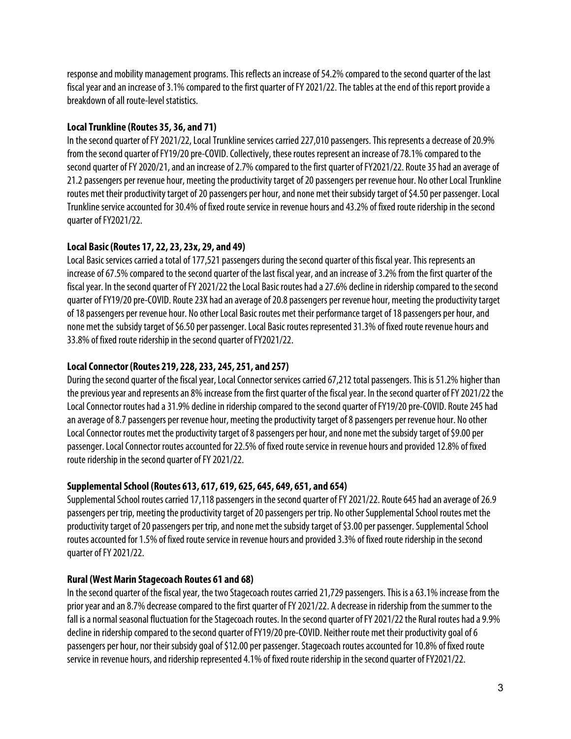response and mobility management programs. This reflects an increase of 54.2% compared tothe second quarter of the last fiscal year and an increase of 3.1% compared to the first quarter of FY 2021/22. The tables at the end of this report provide a breakdown of all route-level statistics.

### **Local Trunkline (Routes 35, 36, and 71)**

In the second quarter of FY 2021/22, Local Trunkline services carried 227,010 passengers. This represents a decrease of 20.9% from the second quarter of FY19/20 pre-COVID. Collectively, these routes represent an increase of 78.1% compared to the second quarter of FY 2020/21, and an increase of 2.7% compared to the first quarter of FY2021/22. Route 35 had an average of 21.2 passengers per revenue hour, meeting the productivity target of 20 passengers per revenue hour. No other Local Trunkline routes met their productivity target of 20 passengers per hour, and none met their subsidy target of \$4.50 per passenger. Local Trunkline service accounted for 30.4% of fixed route service in revenue hours and 43.2% of fixed route ridership in the second quarter of FY2021/22.

## **Local Basic (Routes 17, 22, 23, 23x, 29, and 49)**

Local Basic services carried a total of 177,521 passengers during the second quarter of this fiscal year. This represents an increase of 67.5% compared to the second quarter of the last fiscal year, and an increase of 3.2% from the first quarter of the fiscal year. In the second quarter of FY 2021/22 the Local Basic routes had a 27.6% decline in ridership compared to the second quarter of FY19/20 pre-COVID. Route 23X had an average of 20.8 passengers per revenue hour, meeting the productivity target of 18 passengers per revenue hour. No other Local Basic routes met their performance target of 18 passengers per hour, and none met the subsidy target of \$6.50 per passenger. Local Basic routes represented 31.3% of fixed route revenue hours and 33.8% of fixed route ridership in the second quarter of FY2021/22.

### **Local Connector (Routes 219, 228, 233, 245, 251, and 257)**

During the second quarter of the fiscal year, Local Connector services carried 67,212 total passengers. This is 51.2% higher than the previous year and represents an 8% increase from the first quarter of the fiscal year. In the second quarter of FY 2021/22 the Local Connector routes had a 31.9% decline in ridership compared to the second quarter of FY19/20 pre-COVID. Route 245 had an average of 8.7 passengers per revenue hour, meeting the productivity target of 8 passengers per revenue hour. No other Local Connector routes met the productivity target of 8 passengers per hour, and none met the subsidy target of \$9.00 per passenger. Local Connector routes accounted for 22.5% of fixed route service in revenue hours and provided 12.8% of fixed route ridership in the second quarter of FY 2021/22.

#### **Supplemental School (Routes 613, 617, 619, 625, 645, 649, 651, and 654)**

Supplemental School routes carried 17,118 passengers in the second quarter of FY 2021/22. Route 645 had an average of 26.9 passengers per trip, meeting the productivity target of 20 passengers per trip. No other Supplemental School routes met the productivity target of 20 passengers per trip, and none met the subsidy target of \$3.00 per passenger. Supplemental School routes accounted for 1.5% of fixed route service in revenue hours and provided 3.3% of fixed route ridership in the second quarter of FY 2021/22.

#### **Rural (West Marin Stagecoach Routes 61 and 68)**

In the second quarter of the fiscal year, the two Stagecoach routes carried 21,729 passengers. This is a 63.1% increase from the prior yearand an 8.7%decrease compared to the first quarter of FY 2021/22. A decrease in ridership from the summer to the fall is a normal seasonal fluctuation for the Stagecoach routes. In the second quarter of FY 2021/22 the Rural routes had a 9.9% decline in ridership compared to the second quarter of FY19/20 pre-COVID. Neither route met their productivity goal of 6 passengers per hour, nor their subsidy goal of \$12.00 per passenger. Stagecoach routes accounted for 10.8% of fixed route service in revenue hours, and ridership represented 4.1% of fixed route ridership in the second quarter of FY2021/22.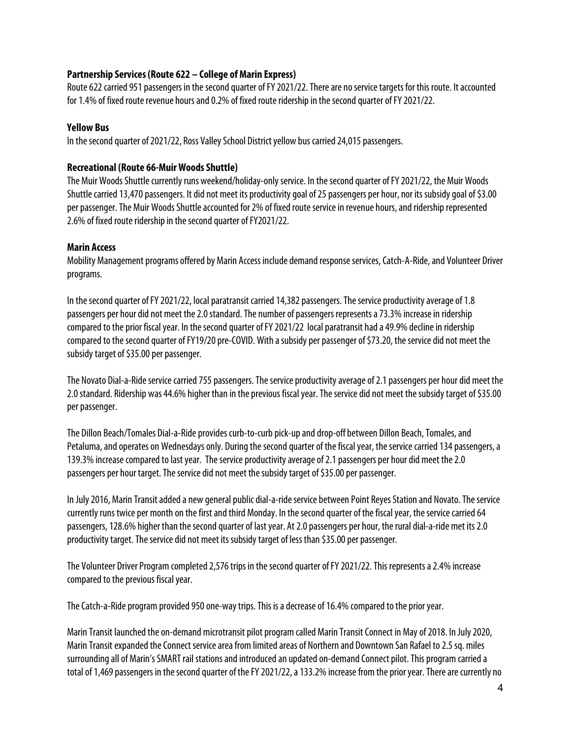#### **Partnership Services (Route 622 – College of Marin Express)**

Route 622 carried 951 passengers in the second quarter of FY 2021/22. There are no service targets for this route. It accounted for 1.4% of fixed route revenue hours and 0.2% of fixed route ridership in the second quarter of FY 2021/22.

#### **Yellow Bus**

In the second quarter of 2021/22, Ross Valley School District yellow bus carried 24,015 passengers.

#### **Recreational (Route 66-Muir Woods Shuttle)**

The Muir Woods Shuttle currently runs weekend/holiday-only service. In the second quarter of FY 2021/22, the Muir Woods Shuttle carried 13,470 passengers. It did not meet its productivity goal of 25 passengers per hour, nor its subsidy goal of \$3.00 per passenger. The Muir Woods Shuttle accounted for 2% of fixed route service in revenue hours, and ridership represented 2.6% of fixed route ridership in the second quarter of FY2021/22.

#### **Marin Access**

Mobility Management programs offered by Marin Access include demand response services, Catch-A-Ride, and Volunteer Driver programs.

In the second quarter of FY 2021/22, local paratransit carried 14,382 passengers. The service productivity average of 1.8 passengers per hour did not meet the 2.0 standard. The number of passengers represents a 73.3% increase in ridership compared to the prior fiscal year. In the second quarter of FY 2021/22 local paratransit had a 49.9% decline in ridership compared to the second quarter of FY19/20 pre-COVID. With a subsidy per passenger of \$73.20, the service did not meet the subsidy target of \$35.00 per passenger.

The Novato Dial-a-Ride service carried 755 passengers. The service productivity average of 2.1 passengers per hour did meet the 2.0 standard. Ridership was 44.6% higher than in the previous fiscal year. The service did not meet the subsidy target of \$35.00 per passenger.

The Dillon Beach/Tomales Dial-a-Ride provides curb-to-curb pick-up and drop-off between Dillon Beach, Tomales, and Petaluma, and operates on Wednesdays only. During the second quarter of the fiscal year, the service carried 134 passengers, a 139.3% increase compared to last year. The service productivity average of 2.1passengersper hour did meet the 2.0 passengers per hour target. The service did not meet the subsidy target of \$35.00 per passenger.

In July 2016, Marin Transit added a new general public dial-a-ride service between Point Reyes Station and Novato. The service currently runs twice per month on the first and third Monday. In the second quarter of the fiscal year, the service carried 64 passengers, 128.6% higher than the second quarter of last year. At 2.0 passengers per hour, the rural dial-a-ride met its 2.0 productivity target. The service did not meet its subsidy target of less than \$35.00 per passenger.

The Volunteer Driver Program completed 2,576 trips in the second quarter of FY 2021/22. This represents a 2.4% increase compared to the previous fiscal year.

The Catch-a-Ride program provided 950 one-way trips. This is a decrease of 16.4% compared to the prior year.

Marin Transit launched the on-demand microtransit pilot programcalled Marin Transit Connect in May of 2018. In July 2020, Marin Transit expanded the Connect service area from limited areas of Northern and Downtown San Rafael to 2.5 sq. miles surrounding all of Marin's SMART rail stations and introduced an updated on-demand Connect pilot. This program carried a total of 1,469 passengers in the second quarter of the FY 2021/22, a 133.2% increase from the prior year. There are currently no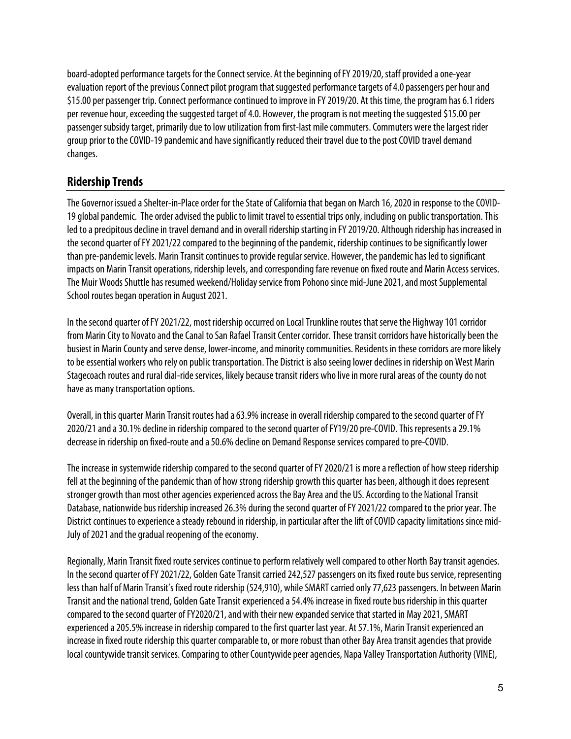board-adopted performance targets for the Connect service. At the beginning of FY 2019/20, staff provided a one-year evaluation report of the previous Connect pilot program that suggested performance targets of 4.0 passengers per hour and \$15.00 per passenger trip. Connect performance continued to improve in FY 2019/20. At this time, the program has 6.1 riders per revenue hour, exceeding the suggested target of 4.0. However, the program is not meeting the suggested \$15.00 per passenger subsidy target, primarily due to low utilization from first-last mile commuters. Commuters were the largest rider group prior to the COVID-19 pandemic and have significantly reduced their travel due to the post COVID travel demand changes.

# **Ridership Trends**

The Governor issued a Shelter-in-Place order for the State of California that began on March 16, 2020 in response to the COVID-19 global pandemic. The order advised the public to limit travel to essential trips only, including on public transportation. This led to a precipitous decline in travel demand and in overall ridership starting in FY 2019/20. Although ridership has increased in the second quarter of FY 2021/22 compared to the beginning of the pandemic, ridership continues to be significantly lower than pre-pandemic levels. Marin Transit continues to provide regular service. However, the pandemic has led to significant impacts on Marin Transit operations, ridership levels, and corresponding fare revenue on fixed route and Marin Access services. The Muir Woods Shuttle has resumed weekend/Holiday service from Pohono since mid-June 2021, and most Supplemental School routes began operation in August 2021.

In the second quarter of FY 2021/22, most ridership occurred on Local Trunkline routes that serve the Highway 101 corridor from Marin City to Novato and the Canal to San Rafael Transit Center corridor. These transit corridors have historically been the busiest in Marin County and serve dense, lower-income, and minority communities. Residents in these corridors are more likely to be essential workers whorely on public transportation. The District is also seeing lower declines in ridership on West Marin Stagecoach routes and rural dial-ride services, likely because transit riders who live in more rural areas of the county do not have as many transportation options.

Overall, in this quarter Marin Transit routes had a 63.9% increase in overall ridership compared to the second quarter of FY 2020/21and a 30.1% decline in ridership compared to the second quarter of FY19/20 pre-COVID. This represents a 29.1% decrease in ridership on fixed-route and a 50.6% decline on Demand Response services compared to pre-COVID.

The increase in systemwide ridership compared to the second quarter of FY 2020/21 is more a reflection of how steep ridership fell at the beginning of the pandemic than of how strong ridership growth this quarter has been, although it does represent stronger growth than most other agencies experienced across the Bay Area and the US. According to the National Transit Database, nationwide bus ridership increased 26.3% during the second quarter of FY 2021/22 compared to the prior year. The District continues to experience a steady rebound in ridership, in particular after the lift of COVID capacity limitations since mid-July of 2021 and the gradual reopening of the economy.

Regionally, Marin Transit fixed route services continue to perform relatively well compared to other North Bay transit agencies. In the second quarter of FY 2021/22, Golden Gate Transit carried 242,527 passengers on its fixed route bus service, representing less than half of Marin Transit's fixed route ridership (524,910), while SMART carried only 77,623 passengers. In between Marin Transit and the national trend, Golden Gate Transit experienced a 54.4% increase in fixed route bus ridership in this quarter compared to the secondquarter of FY2020/21, and with their new expanded service that started in May 2021, SMART experienced a 205.5% increase in ridership compared to the first quarter last year. At 57.1%, Marin Transit experienced an increase in fixed route ridership this quarter comparable to, or more robust than other Bay Area transit agencies that provide local countywide transit services. Comparing to other Countywide peer agencies, Napa Valley Transportation Authority (VINE),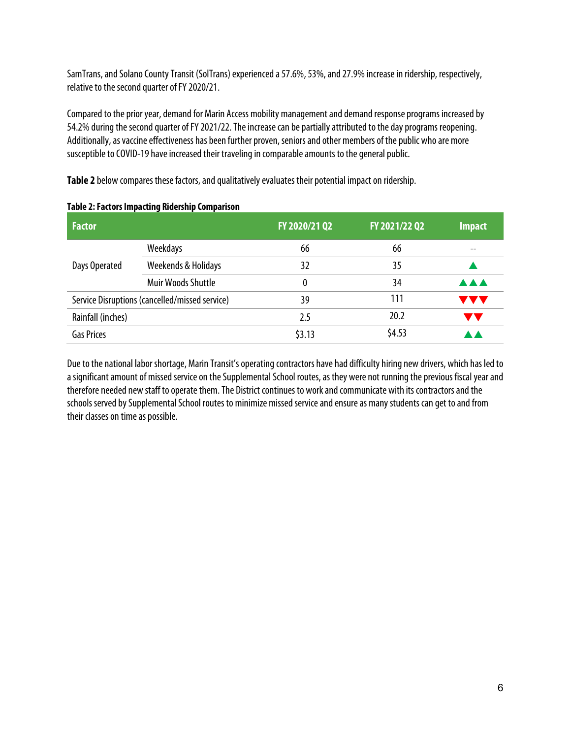SamTrans, and Solano County Transit (SolTrans) experienced a 57.6%, 53%, and 27.9% increase in ridership, respectively, relative to the second quarter of FY 2020/21.

Compared to the prior year, demand for Marin Access mobility management and demand response programs increasedby 54.2% during the secondquarter of FY 2021/22. The increase can be partially attributed to the day programs reopening. Additionally, as vaccine effectiveness has been further proven, seniors and other members of the public who are more susceptible to COVID-19 have increased their traveling in comparable amounts to the general public.

**Table 2** below compares these factors, and qualitatively evaluates their potential impact on ridership.

| <b>Factor</b>     |                                                | FY 2020/21 Q2 | FY 2021/22 Q2 | <b>Impact</b> |
|-------------------|------------------------------------------------|---------------|---------------|---------------|
|                   | Weekdays                                       | 66            | 66            |               |
| Days Operated     | Weekends & Holidays                            | 32            | 35            |               |
|                   | Muir Woods Shuttle                             | 0             | 34            | <b>AAA</b>    |
|                   | Service Disruptions (cancelled/missed service) | 39            | 111           | <b>AA</b>     |
| Rainfall (inches) |                                                | 2.5           | 20.2          | A             |
| <b>Gas Prices</b> |                                                | \$3.13        | \$4.53        |               |

#### **Table 2: Factors Impacting Ridership Comparison**

Due to the national labor shortage, Marin Transit's operating contractors have had difficulty hiring new drivers, which has led to a significant amount of missed service on the Supplemental School routes, as they were not running the previous fiscal year and therefore needed new staff to operate them. The District continues to work and communicate with its contractors and the schools served by Supplemental School routes to minimize missed service and ensure as many students can get to and from their classes on time as possible.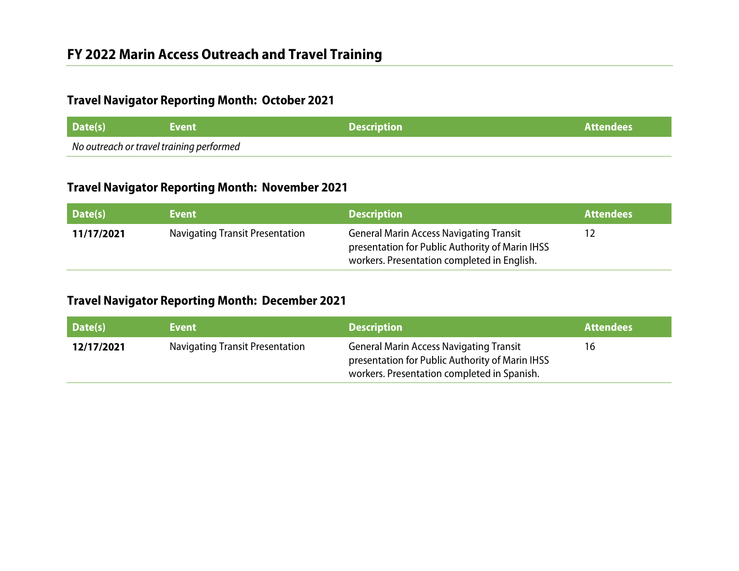# **Travel Navigator Reporting Month: October 2021**

| Date(s)                                  | <b>\Event</b> \ | <b>Description</b> | l Attendees ' |
|------------------------------------------|-----------------|--------------------|---------------|
| No outreach or travel training performed |                 |                    |               |

# **Travel Navigator Reporting Month: November 2021**

| Date(s)    | Event                                  | <b>Description</b>                                                                                                                               | <b>Attendees</b> |
|------------|----------------------------------------|--------------------------------------------------------------------------------------------------------------------------------------------------|------------------|
| 11/17/2021 | <b>Navigating Transit Presentation</b> | <b>General Marin Access Navigating Transit</b><br>presentation for Public Authority of Marin IHSS<br>workers. Presentation completed in English. |                  |

# **Travel Navigator Reporting Month: December 2021**

| Date(s)    | <b>Event</b>                           | <b>Description</b>                                                                                                                               | <b>Attendees</b> |
|------------|----------------------------------------|--------------------------------------------------------------------------------------------------------------------------------------------------|------------------|
| 12/17/2021 | <b>Navigating Transit Presentation</b> | <b>General Marin Access Navigating Transit</b><br>presentation for Public Authority of Marin IHSS<br>workers. Presentation completed in Spanish. | 16               |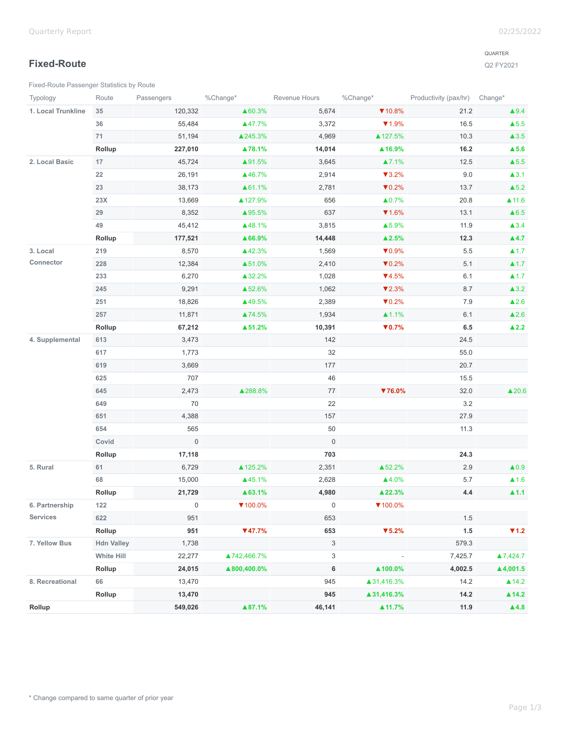## **Fixed-Route**

[Fixed-Route Passenger Statistics by Route](https://analytics.transtrack.net/embedded.html#project=%2Fgdc%2Fprojects%2Fph7vkpt6d15wfrwooz9f6wh5y8cu0ylz&dashboard=%2Fgdc%2Fmd%2Fph7vkpt6d15wfrwooz9f6wh5y8cu0ylz%2Fobj%2F50135&tab=9786be98a850&export=1&ctx=%2Fgdc%2Fprojects%2Fph7vkpt6d15wfrwooz9f6wh5y8cu0ylz%2FexecutionContexts%2Ftmp621927444b71ef04c4413f29&request_id=uix854e49cfff80_72%3ADW7csXORZIaf83JW%3Aclgps2k8ypkud681%3A5&s=/gdc/workspaces/ph7vkpt6d15wfrwooz9f6wh5y8cu0ylz|analysisPage|head|/gdc/md/ph7vkpt6d15wfrwooz9f6wh5y8cu0ylz/obj/102213)

#### QUARTER

Q2 FY2021

| Typology           | Route             | Passengers          | %Change*    | Revenue Hours       | %Change*                   | Productivity (pax/hr) Change* |                          |
|--------------------|-------------------|---------------------|-------------|---------------------|----------------------------|-------------------------------|--------------------------|
| 1. Local Trunkline | 35                | 120,332             | ▲60.3%      | 5,674               | $\P$ 10.8%                 | 21.2                          | $\blacktriangle$ 9.4     |
|                    | 36                | 55,484              | ▲47.7%      | 3,372               | $\P$ 1.9%                  | 16.5                          | $\blacktriangle$ 5.5     |
|                    | 71                | 51,194              | ▲245.3%     | 4,969               | ▲ 127.5%                   | 10.3                          | $\blacktriangle$ 3.5     |
|                    | Rollup            | 227,010             | ▲78.1%      | 14,014              | ▲ 16.9%                    | 16.2                          | $\blacktriangle$ 5.6     |
| 2. Local Basic     | 17                | 45,724              | ▲91.5%      | 3,645               | ▲7.1%                      | 12.5                          | $\blacktriangle$ 5.5     |
|                    | 22                | 26,191              | ▲46.7%      | 2,914               | $\blacktriangledown$ 3.2%  | 9.0                           | $\blacktriangle$ 3.1     |
|                    | 23                | 38,173              | ▲61.1%      | 2,781               | $\nabla 0.2\%$             | 13.7                          | $\blacktriangle$ 5.2     |
|                    | $23X$             | 13,669              | ▲ 127.9%    | 656                 | $\triangle 0.7\%$          | 20.8                          | $\triangle$ 11.6         |
|                    | 29                | 8,352               | ▲95.5%      | 637                 | $\P$ 1.6%                  | 13.1                          | $\triangle 6.5$          |
|                    | 49                | 45,412              | ▲48.1%      | 3,815               | ▲5.9%                      | 11.9                          | $\blacktriangle$ 3.4     |
|                    | Rollup            | 177,521             | ▲66.9%      | 14,448              | $\blacktriangle$ 2.5%      | 12.3                          | $\blacktriangle 4.7$     |
| 3. Local           | 219               | 8,570               | ▲42.3%      | 1,569               | $\nabla 0.9\%$             | 5.5                           | $\blacktriangle$ 1.7     |
| Connector          | 228               | 12,384              | ▲51.0%      | 2,410               | $\nabla 0.2\%$             | 5.1                           | $\blacktriangle$ 1.7     |
|                    | 233               | 6,270               | ▲32.2%      | 1,028               | $\P$ 4.5%                  | 6.1                           | $\blacktriangle$ 1.7     |
|                    | 245               | 9,291               | ▲52.6%      | 1,062               | $\blacktriangledown 2.3\%$ | 8.7                           | $\blacktriangle$ 3.2     |
|                    | 251               | 18,826              | ▲49.5%      | 2,389               | $\nabla 0.2\%$             | 7.9                           | $\blacktriangle$ 2.6     |
|                    | 257               | 11,871              | ▲74.5%      | 1,934               | $\triangle 1.1\%$          | 6.1                           | $\triangle 2.6$          |
|                    | Rollup            | 67,212              | ▲51.2%      | 10,391              | $\nabla 0.7\%$             | 6.5                           | $\blacktriangle$ 2.2     |
| 4. Supplemental    | 613               | 3,473               |             | 142                 |                            | 24.5                          |                          |
|                    | 617               | 1,773               |             | 32                  |                            | 55.0                          |                          |
|                    | 619               | 3,669               |             | 177                 |                            | 20.7                          |                          |
|                    | 625               | 707                 |             | 46                  |                            | 15.5                          |                          |
|                    | 645               | 2,473               | ▲288.8%     | 77                  | $76.0\%$                   | 32.0                          | $\triangle 20.6$         |
|                    | 649               | 70                  |             | 22                  |                            | $3.2\,$                       |                          |
|                    | 651               | 4,388               |             | 157                 |                            | 27.9                          |                          |
|                    | 654               | 565                 |             | 50                  |                            | 11.3                          |                          |
|                    | Covid             | $\mathsf{O}\xspace$ |             | $\mathsf{O}\xspace$ |                            |                               |                          |
|                    | Rollup            | 17,118              |             | 703                 |                            | 24.3                          |                          |
| 5. Rural           | 61                | 6,729               | ▲125.2%     | 2,351               | ▲52.2%                     | 2.9                           | $\blacktriangle 0.9$     |
|                    | 68                | 15,000              | ▲45.1%      | 2,628               | ▲4.0%                      | 5.7                           | $\triangle$ 1.6          |
|                    | Rollup            | 21,729              | ▲63.1%      | 4,980               | ▲ 22.3%                    | 4.4                           | $\blacktriangle$ 1.1     |
| 6. Partnership     | 122               | 0                   | $7100.0\%$  | 0                   | $\P$ 100.0%                |                               |                          |
| <b>Services</b>    | 622               | 951                 |             | 653                 |                            | 1.5                           |                          |
|                    | Rollup            | 951                 | $\P(47.7\%$ | 653                 | $\blacktriangledown$ 5.2%  | 1.5                           | $\P$ 1.2                 |
| 7. Yellow Bus      | <b>Hdn Valley</b> | 1,738               |             | $\mathbf{3}$        |                            | 579.3                         |                          |
|                    | <b>White Hill</b> | 22,277              | ▲742,466.7% | 3                   |                            | 7,425.7                       | ▲7,424.7                 |
|                    | Rollup            | 24,015              | ▲800,400.0% | 6                   | ▲100.0%                    | 4,002.5                       | $\blacktriangle$ 4,001.5 |
| 8. Recreational    | 66                | 13,470              |             | 945                 | ▲31,416.3%                 | 14.2                          | ▲14.2                    |
|                    | Rollup            | 13,470              |             | 945                 | ▲31,416.3%                 | 14.2                          | ▲14.2                    |
| Rollup             |                   | 549,026             | ▲87.1%      | 46,141              | $\triangle 11.7\%$         | 11.9                          | $\blacktriangle$ 4.8     |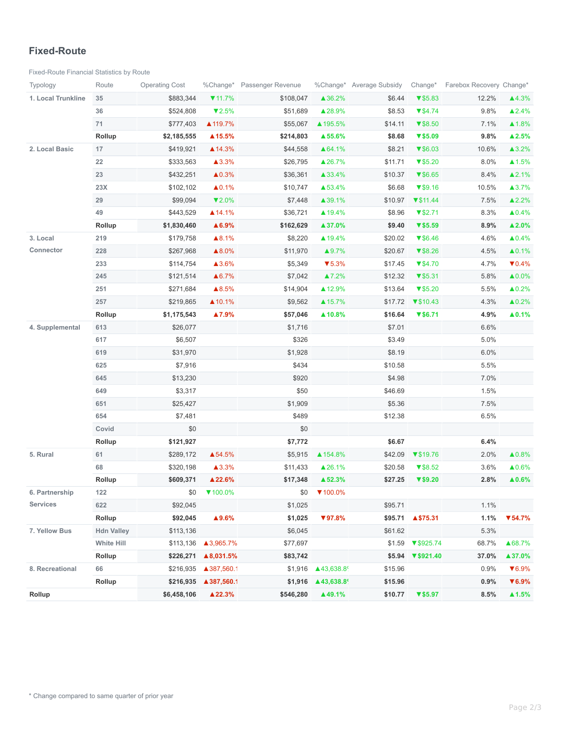#### **Fixed-Route**

[Fixed-Route Financial Statistics by Route](https://analytics.transtrack.net/embedded.html#project=%2Fgdc%2Fprojects%2Fph7vkpt6d15wfrwooz9f6wh5y8cu0ylz&dashboard=%2Fgdc%2Fmd%2Fph7vkpt6d15wfrwooz9f6wh5y8cu0ylz%2Fobj%2F50135&tab=9786be98a850&export=1&ctx=%2Fgdc%2Fprojects%2Fph7vkpt6d15wfrwooz9f6wh5y8cu0ylz%2FexecutionContexts%2Ftmp621927444b71ef04c4413f29&request_id=uix854e49cfff80_72%3ADW7csXORZIaf83JW%3Aclgps2k8ypkud681%3A5&s=/gdc/workspaces/ph7vkpt6d15wfrwooz9f6wh5y8cu0ylz|analysisPage|head|/gdc/md/ph7vkpt6d15wfrwooz9f6wh5y8cu0ylz/obj/102231)

| Typology           | Route             | <b>Operating Cost</b> |                      | %Change* Passenger Revenue |                                                    | %Change* Average Subsidy | Change*                      | Farebox Recovery Change* |                            |
|--------------------|-------------------|-----------------------|----------------------|----------------------------|----------------------------------------------------|--------------------------|------------------------------|--------------------------|----------------------------|
| 1. Local Trunkline | 35                | \$883,344             | $\P$ 11.7%           | \$108,047                  | ▲36.2%                                             | \$6.44                   | $\blacktriangledown$ \$5.83  | 12.2%                    | ▲4.3%                      |
|                    | 36                | \$524,808             | $\nabla 2.5\%$       | \$51,689                   | ▲28.9%                                             | \$8.53                   | $\P$ \$4.74                  | 9.8%                     | $\triangle 2.4\%$          |
|                    | 71                | \$777,403             | ▲ 119.7%             | \$55,067                   | ▲ 195.5%                                           | \$14.11                  | $\blacktriangledown$ \$8.50  | 7.1%                     | ▲1.8%                      |
|                    | Rollup            | \$2,185,555           | $\triangle$ 15.5%    | \$214,803                  | ▲55.6%                                             | \$8.68                   | $\sqrt{$}5.09$               | 9.8%                     | $\blacktriangle$ 2.5%      |
| 2. Local Basic     | 17                | \$419,921             | ▲ 14.3%              | \$44,558                   | ▲64.1%                                             | \$8.21                   | $\P$ \$6.03                  | 10.6%                    | ▲3.2%                      |
|                    | 22                | \$333,563             | ▲3.3%                | \$26,795                   | ▲26.7%                                             | \$11.71                  | $\blacktriangledown$ \$5.20  | 8.0%                     | $\blacktriangle$ 1.5%      |
|                    | 23                | \$432,251             | $\triangle 0.3\%$    | \$36,361                   | ▲33.4%                                             | \$10.37                  | $\P$ \$6.65                  | 8.4%                     | ▲2.1%                      |
|                    | 23X               | \$102,102             | $\triangle 0.1%$     | \$10,747                   | ▲53.4%                                             | \$6.68                   | $\P$ \$9.16                  | 10.5%                    | ▲3.7%                      |
|                    | 29                | \$99,094              | $\P$ 2.0%            | \$7,448                    | ▲39.1%                                             | \$10.97                  | $\blacktriangledown$ \$11.44 | 7.5%                     | ▲2.2%                      |
|                    | 49                | \$443,529             | ▲14.1%               | \$36,721                   | ▲ 19.4%                                            | \$8.96                   | $\blacktriangledown$ \$2.71  | 8.3%                     | $\triangle 0.4\%$          |
|                    | Rollup            | \$1,830,460           | ▲6.9%                | \$162,629                  | ▲37.0%                                             | \$9.40                   | V\$5.59                      | 8.9%                     | $\blacktriangle$ 2.0%      |
| 3. Local           | 219               | \$179,758             | ▲8.1%                | \$8,220                    | ▲ 19.4%                                            | \$20.02                  | $\P$ \$6.46                  | 4.6%                     | $\triangle 0.4\%$          |
| Connector          | 228               | \$267,968             | ▲8.0%                | \$11,970                   | ▲9.7%                                              | \$20.67                  | $\P$ \$8.26                  | 4.5%                     | $\triangle 0.1\%$          |
|                    | 233               | \$114,754             | ▲3.6%                | \$5,349                    | $\blacktriangledown$ 5.3%                          | \$17.45                  | $\P$ \$4.70                  | 4.7%                     | $\nabla 0.4\%$             |
|                    | 245               | \$121,514             | ▲6.7%                | \$7,042                    | ▲7.2%                                              | \$12.32                  | $\blacktriangledown$ \$5.31  | 5.8%                     | $\triangle 0.0\%$          |
|                    | 251               | \$271,684             | ▲8.5%                | \$14,904                   | ▲12.9%                                             | \$13.64                  | $\blacktriangledown$ \$5.20  | 5.5%                     | $\triangle 0.2\%$          |
|                    | 257               | \$219,865             | ▲10.1%               | \$9,562                    | ▲ 15.7%                                            | \$17.72                  | $\P$ \$10.43                 | 4.3%                     | $\triangle 0.2\%$          |
|                    | Rollup            | \$1,175,543           | ▲7.9%                | \$57,046                   | ▲10.8%                                             | \$16.64                  | V\$6.71                      | 4.9%                     | $\blacktriangle$ 0.1%      |
| 4. Supplemental    | 613               | \$26,077              |                      | \$1,716                    |                                                    | \$7.01                   |                              | 6.6%                     |                            |
|                    | 617               | \$6,507               |                      | \$326                      |                                                    | \$3.49                   |                              | 5.0%                     |                            |
|                    | 619               | \$31,970              |                      | \$1,928                    |                                                    | \$8.19                   |                              | 6.0%                     |                            |
|                    | 625               | \$7,916               |                      | \$434                      |                                                    | \$10.58                  |                              | 5.5%                     |                            |
|                    | 645               | \$13,230              |                      | \$920                      |                                                    | \$4.98                   |                              | 7.0%                     |                            |
|                    | 649               | \$3,317               |                      | \$50                       |                                                    | \$46.69                  |                              | 1.5%                     |                            |
|                    | 651               | \$25,427              |                      | \$1,909                    |                                                    | \$5.36                   |                              | 7.5%                     |                            |
|                    | 654               | \$7,481               |                      | \$489                      |                                                    | \$12.38                  |                              | 6.5%                     |                            |
|                    | Covid             | \$0                   |                      | \$0                        |                                                    |                          |                              |                          |                            |
|                    | Rollup            | \$121,927             |                      | \$7,772                    |                                                    | \$6.67                   |                              | 6.4%                     |                            |
| 5. Rural           | 61                | \$289,172             | ▲54.5%               | \$5,915                    | ▲ 154.8%                                           | \$42.09                  | $\P$ \$19.76                 | 2.0%                     | ▲0.8%                      |
|                    | 68                | \$320,198             | ▲3.3%                | \$11,433                   | ▲26.1%                                             | \$20.58                  | $\blacktriangledown$ \$8.52  | 3.6%                     | ▲0.6%                      |
|                    | Rollup            | \$609,371             | ▲22.6%               | \$17,348                   | ▲52.3%                                             | \$27.25                  | $\blacktriangledown$ \$9.20  | 2.8%                     | $\blacktriangle$ 0.6%      |
| 6. Partnership     | 122               | \$0                   | ▼100.0%              | \$0                        | $\P$ 100.0%                                        |                          |                              |                          |                            |
| <b>Services</b>    | 622               | \$92,045              |                      | \$1,025                    |                                                    | \$95.71                  |                              | 1.1%                     |                            |
|                    | Rollup            | \$92,045              | ▲9.6%                | \$1,025                    | ▼97.8%                                             | \$95.71                  | ▲ \$75.31                    | 1.1%                     | $\P$ 54.7%                 |
| 7. Yellow Bus      | <b>Hdn Valley</b> | \$113,136             |                      | \$6,045                    |                                                    | \$61.62                  |                              | 5.3%                     |                            |
|                    | <b>White Hill</b> |                       | \$113,136 43,965.7%  | \$77,697                   |                                                    | \$1.59                   | $\P$ \$925.74                | 68.7%                    | ▲68.7%                     |
|                    | Rollup            | \$226,271             | ▲8,031.5%            | \$83,742                   |                                                    | \$5.94                   | $\P$ \$921.40                | 37.0%                    | ▲37.0%                     |
| 8. Recreational    | 66                |                       | \$216,935 ▲387,560.1 | \$1,916                    | $\triangle$ 43,638.8 <sup><math>\circ</math></sup> | \$15.96                  |                              | 0.9%                     | $\blacktriangledown 6.9\%$ |
|                    | Rollup            | \$216,935             | ▲387,560.1           | \$1,916                    | ▲43,638.8                                          | \$15.96                  |                              | 0.9%                     | $\P$ 6.9%                  |
| Rollup             |                   | \$6,458,106           | $\triangle 22.3\%$   | \$546,280                  | ▲49.1%                                             | \$10.77                  | $\P$ \$5.97                  | 8.5%                     | $\blacktriangle$ 1.5%      |